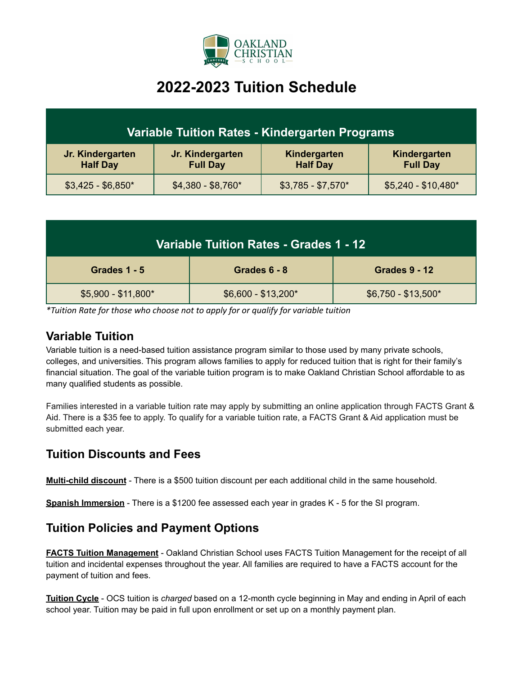

# **2022-2023 Tuition Schedule**

| Variable Tuition Rates - Kindergarten Programs |                                     |                                 |                                 |  |
|------------------------------------------------|-------------------------------------|---------------------------------|---------------------------------|--|
| Jr. Kindergarten<br><b>Half Day</b>            | Jr. Kindergarten<br><b>Full Day</b> | Kindergarten<br><b>Half Day</b> | Kindergarten<br><b>Full Day</b> |  |
| $$3,425 - $6,850*$                             | $$4,380 - $8,760*$                  | $$3,785 - $7,570*$              | $$5,240 - $10,480*$             |  |

| Variable Tuition Rates - Grades 1 - 12 |                     |                      |  |  |
|----------------------------------------|---------------------|----------------------|--|--|
| Grades 1 - 5                           | Grades 6 - 8        | <b>Grades 9 - 12</b> |  |  |
| $$5,900 - $11,800*$                    | $$6,600 - $13,200*$ | $$6,750 - $13,500*$  |  |  |

*\*Tuition Rate for those who choose not to apply for or qualify for variable tuition*

#### **Variable Tuition**

Variable tuition is a need-based tuition assistance program similar to those used by many private schools, colleges, and universities. This program allows families to apply for reduced tuition that is right for their family's financial situation. The goal of the variable tuition program is to make Oakland Christian School affordable to as many qualified students as possible.

Families interested in a variable tuition rate may apply by submitting an online application through FACTS Grant & Aid. There is a \$35 fee to apply. To qualify for a variable tuition rate, a FACTS Grant & Aid application must be submitted each year.

# **Tuition Discounts and Fees**

**Multi-child discount** - There is a \$500 tuition discount per each additional child in the same household.

**Spanish Immersion** - There is a \$1200 fee assessed each year in grades K - 5 for the SI program.

## **Tuition Policies and Payment Options**

**FACTS Tuition Management** - Oakland Christian School uses FACTS Tuition Management for the receipt of all tuition and incidental expenses throughout the year. All families are required to have a FACTS account for the payment of tuition and fees.

**Tuition Cycle** - OCS tuition is *charged* based on a 12-month cycle beginning in May and ending in April of each school year. Tuition may be paid in full upon enrollment or set up on a monthly payment plan.